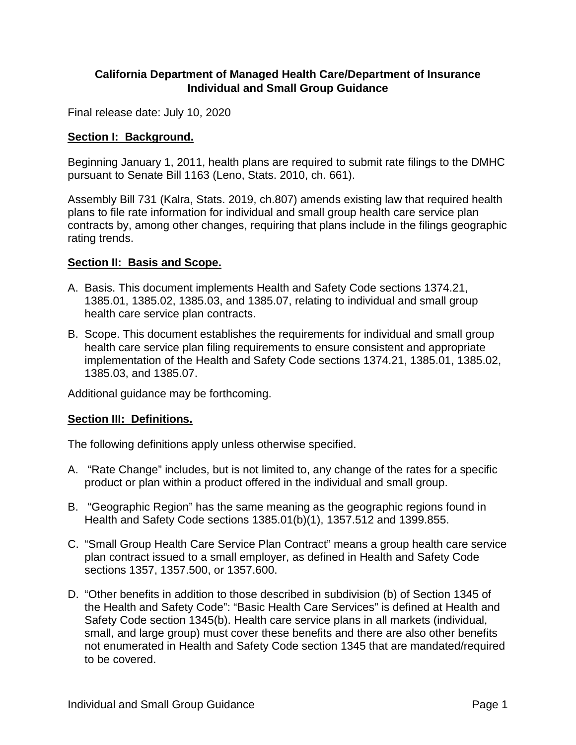## **California Department of Managed Health Care/Department of Insurance Individual and Small Group Guidance**

Final release date: July 10, 2020

## **Section I: Background.**

Beginning January 1, 2011, health plans are required to submit rate filings to the DMHC pursuant to Senate Bill 1163 (Leno, Stats. 2010, ch. 661).

Assembly Bill 731 (Kalra, Stats. 2019, ch.807) amends existing law that required health plans to file rate information for individual and small group health care service plan contracts by, among other changes, requiring that plans include in the filings geographic rating trends.

## **Section II: Basis and Scope.**

- A. Basis. This document implements Health and Safety Code sections 1374.21, 1385.01, 1385.02, 1385.03, and 1385.07, relating to individual and small group health care service plan contracts.
- B. Scope. This document establishes the requirements for individual and small group health care service plan filing requirements to ensure consistent and appropriate implementation of the Health and Safety Code sections 1374.21, 1385.01, 1385.02, 1385.03, and 1385.07.

Additional guidance may be forthcoming.

# **Section III: Definitions.**

The following definitions apply unless otherwise specified.

- A. "Rate Change" includes, but is not limited to, any change of the rates for a specific product or plan within a product offered in the individual and small group.
- B. "Geographic Region" has the same meaning as the geographic regions found in Health and Safety Code sections 1385.01(b)(1), 1357.512 and 1399.855.
- C. "Small Group Health Care Service Plan Contract" means a group health care service plan contract issued to a small employer, as defined in Health and Safety Code sections 1357, 1357.500, or 1357.600.
- D. "Other benefits in addition to those described in subdivision (b) of Section 1345 of the Health and Safety Code": "Basic Health Care Services" is defined at Health and Safety Code section 1345(b). Health care service plans in all markets (individual, small, and large group) must cover these benefits and there are also other benefits not enumerated in Health and Safety Code section 1345 that are mandated/required to be covered.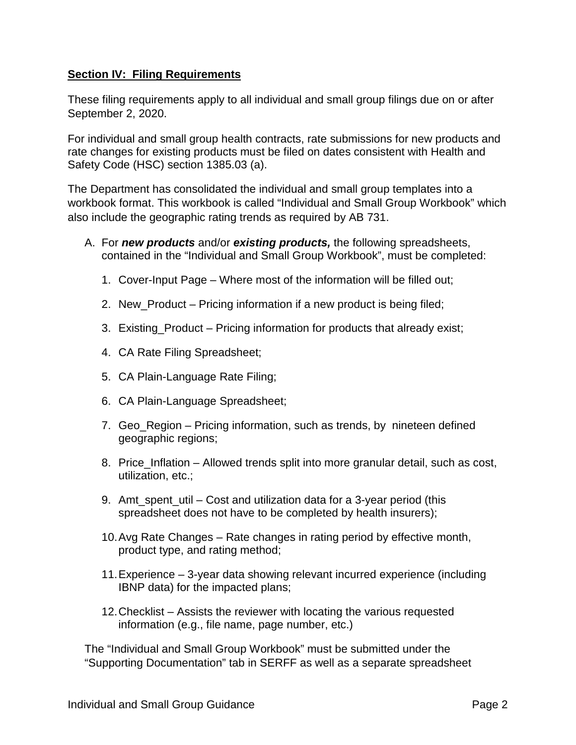## **Section IV: Filing Requirements**

These filing requirements apply to all individual and small group filings due on or after September 2, 2020.

For individual and small group health contracts, rate submissions for new products and rate changes for existing products must be filed on dates consistent with Health and Safety Code (HSC) section 1385.03 (a).

The Department has consolidated the individual and small group templates into a workbook format. This workbook is called "Individual and Small Group Workbook" which also include the geographic rating trends as required by AB 731.

- A. For *new products* and/or *existing products,* the following spreadsheets, contained in the "Individual and Small Group Workbook", must be completed:
	- 1. Cover-Input Page Where most of the information will be filled out;
	- 2. New\_Product Pricing information if a new product is being filed;
	- 3. Existing\_Product Pricing information for products that already exist;
	- 4. CA Rate Filing Spreadsheet;
	- 5. CA Plain-Language Rate Filing;
	- 6. CA Plain-Language Spreadsheet;
	- 7. Geo\_Region Pricing information, such as trends, by nineteen defined geographic regions;
	- 8. Price Inflation Allowed trends split into more granular detail, such as cost, utilization, etc.;
	- 9. Amt spent util Cost and utilization data for a 3-year period (this spreadsheet does not have to be completed by health insurers);
	- 10.Avg Rate Changes Rate changes in rating period by effective month, product type, and rating method;
	- 11.Experience 3-year data showing relevant incurred experience (including IBNP data) for the impacted plans;
	- 12.Checklist Assists the reviewer with locating the various requested information (e.g., file name, page number, etc.)

The "Individual and Small Group Workbook" must be submitted under the "Supporting Documentation" tab in SERFF as well as a separate spreadsheet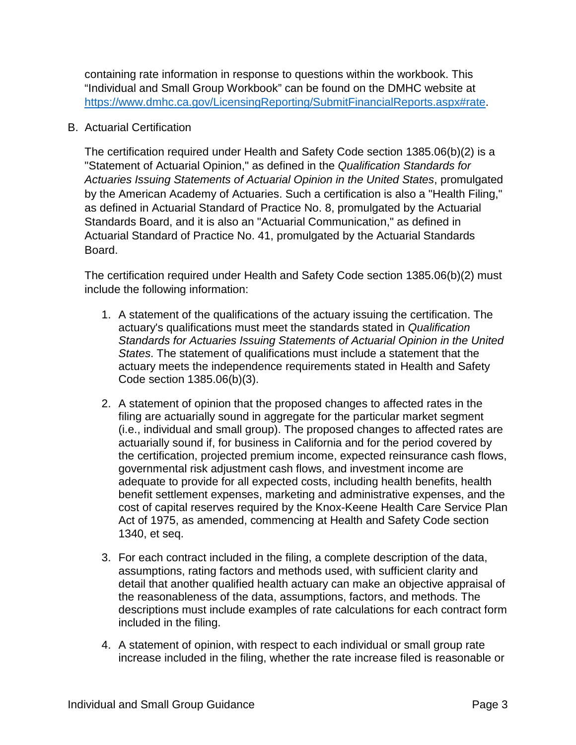containing rate information in response to questions within the workbook. This "Individual and Small Group Workbook" can be found on the DMHC website at [https://www.dmhc.ca.gov/LicensingReporting/SubmitFinancialReports.aspx#rate.](https://www.dmhc.ca.gov/LicensingReporting/SubmitFinancialReports.aspx#rate)

## B. Actuarial Certification

The certification required under Health and Safety Code section 1385.06(b)(2) is a "Statement of Actuarial Opinion," as defined in the *Qualification Standards for Actuaries Issuing Statements of Actuarial Opinion in the United States*, promulgated by the American Academy of Actuaries. Such a certification is also a "Health Filing," as defined in Actuarial Standard of Practice No. 8, promulgated by the Actuarial Standards Board, and it is also an "Actuarial Communication," as defined in Actuarial Standard of Practice No. 41, promulgated by the Actuarial Standards Board.

The certification required under Health and Safety Code section 1385.06(b)(2) must include the following information:

- 1. A statement of the qualifications of the actuary issuing the certification. The actuary's qualifications must meet the standards stated in *Qualification Standards for Actuaries Issuing Statements of Actuarial Opinion in the United States*. The statement of qualifications must include a statement that the actuary meets the independence requirements stated in Health and Safety Code section 1385.06(b)(3).
- 2. A statement of opinion that the proposed changes to affected rates in the filing are actuarially sound in aggregate for the particular market segment (i.e., individual and small group). The proposed changes to affected rates are actuarially sound if, for business in California and for the period covered by the certification, projected premium income, expected reinsurance cash flows, governmental risk adjustment cash flows, and investment income are adequate to provide for all expected costs, including health benefits, health benefit settlement expenses, marketing and administrative expenses, and the cost of capital reserves required by the Knox-Keene Health Care Service Plan Act of 1975, as amended, commencing at Health and Safety Code section 1340, et seq.
- 3. For each contract included in the filing, a complete description of the data, assumptions, rating factors and methods used, with sufficient clarity and detail that another qualified health actuary can make an objective appraisal of the reasonableness of the data, assumptions, factors, and methods. The descriptions must include examples of rate calculations for each contract form included in the filing.
- 4. A statement of opinion, with respect to each individual or small group rate increase included in the filing, whether the rate increase filed is reasonable or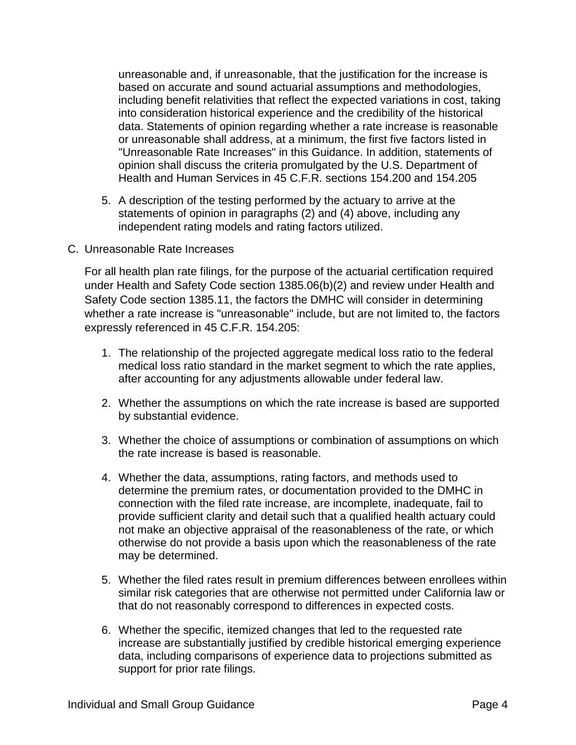unreasonable and, if unreasonable, that the justification for the increase is based on accurate and sound actuarial assumptions and methodologies, including benefit relativities that reflect the expected variations in cost, taking into consideration historical experience and the credibility of the historical data. Statements of opinion regarding whether a rate increase is reasonable or unreasonable shall address, at a minimum, the first five factors listed in "Unreasonable Rate Increases" in this Guidance. In addition, statements of opinion shall discuss the criteria promulgated by the U.S. Department of Health and Human Services in 45 C.F.R. sections 154.200 and 154.205

- 5. A description of the testing performed by the actuary to arrive at the statements of opinion in paragraphs (2) and (4) above, including any independent rating models and rating factors utilized.
- C. Unreasonable Rate Increases

For all health plan rate filings, for the purpose of the actuarial certification required under Health and Safety Code section 1385.06(b)(2) and review under Health and Safety Code section 1385.11, the factors the DMHC will consider in determining whether a rate increase is "unreasonable" include, but are not limited to, the factors expressly referenced in 45 C.F.R. 154.205:

- 1. The relationship of the projected aggregate medical loss ratio to the federal medical loss ratio standard in the market segment to which the rate applies, after accounting for any adjustments allowable under federal law.
- 2. Whether the assumptions on which the rate increase is based are supported by substantial evidence.
- 3. Whether the choice of assumptions or combination of assumptions on which the rate increase is based is reasonable.
- 4. Whether the data, assumptions, rating factors, and methods used to determine the premium rates, or documentation provided to the DMHC in connection with the filed rate increase, are incomplete, inadequate, fail to provide sufficient clarity and detail such that a qualified health actuary could not make an objective appraisal of the reasonableness of the rate, or which otherwise do not provide a basis upon which the reasonableness of the rate may be determined.
- 5. Whether the filed rates result in premium differences between enrollees within similar risk categories that are otherwise not permitted under California law or that do not reasonably correspond to differences in expected costs.
- 6. Whether the specific, itemized changes that led to the requested rate increase are substantially justified by credible historical emerging experience data, including comparisons of experience data to projections submitted as support for prior rate filings.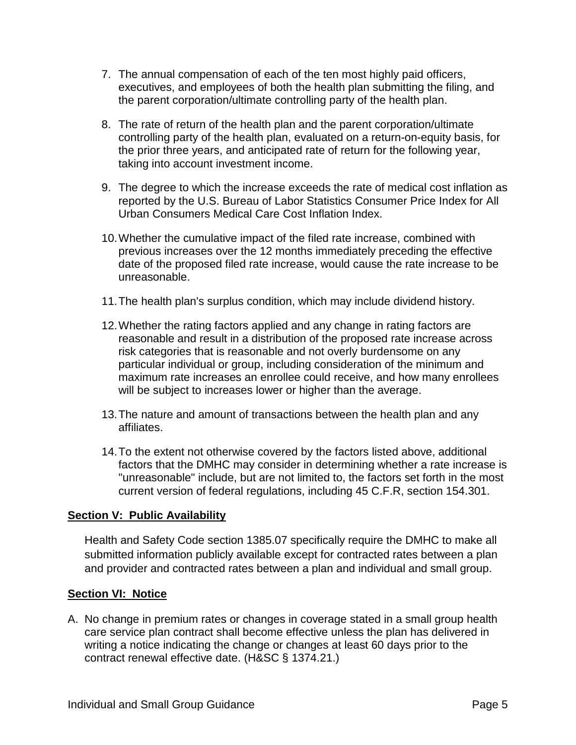- 7. The annual compensation of each of the ten most highly paid officers, executives, and employees of both the health plan submitting the filing, and the parent corporation/ultimate controlling party of the health plan.
- 8. The rate of return of the health plan and the parent corporation/ultimate controlling party of the health plan, evaluated on a return-on-equity basis, for the prior three years, and anticipated rate of return for the following year, taking into account investment income.
- 9. The degree to which the increase exceeds the rate of medical cost inflation as reported by the U.S. Bureau of Labor Statistics Consumer Price Index for All Urban Consumers Medical Care Cost Inflation Index.
- 10.Whether the cumulative impact of the filed rate increase, combined with previous increases over the 12 months immediately preceding the effective date of the proposed filed rate increase, would cause the rate increase to be unreasonable.
- 11.The health plan's surplus condition, which may include dividend history.
- 12.Whether the rating factors applied and any change in rating factors are reasonable and result in a distribution of the proposed rate increase across risk categories that is reasonable and not overly burdensome on any particular individual or group, including consideration of the minimum and maximum rate increases an enrollee could receive, and how many enrollees will be subject to increases lower or higher than the average.
- 13.The nature and amount of transactions between the health plan and any affiliates.
- 14.To the extent not otherwise covered by the factors listed above, additional factors that the DMHC may consider in determining whether a rate increase is "unreasonable" include, but are not limited to, the factors set forth in the most current version of federal regulations, including 45 C.F.R, section 154.301.

## **Section V: Public Availability**

Health and Safety Code section 1385.07 specifically require the DMHC to make all submitted information publicly available except for contracted rates between a plan and provider and contracted rates between a plan and individual and small group.

## **Section VI: Notice**

A. No change in premium rates or changes in coverage stated in a small group health care service plan contract shall become effective unless the plan has delivered in writing a notice indicating the change or changes at least 60 days prior to the contract renewal effective date. (H&SC § 1374.21.)